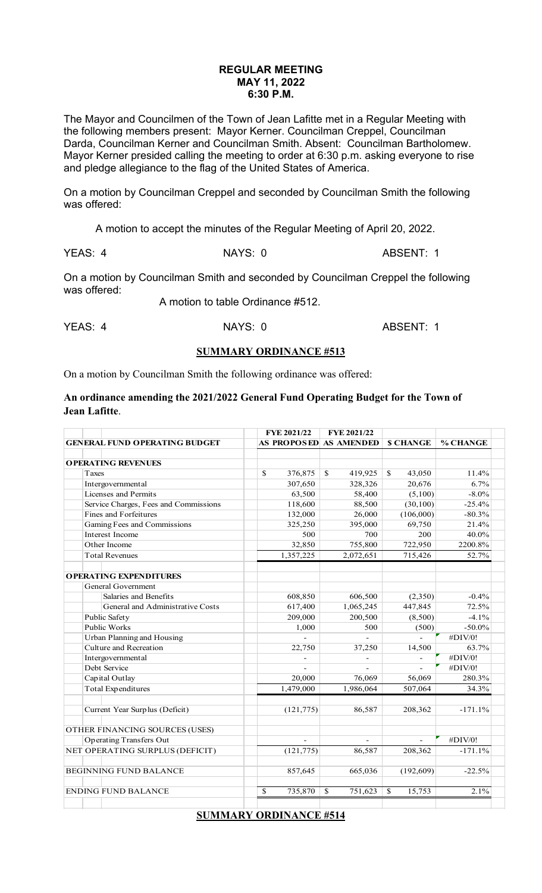### **REGULAR MEETING MAY 11, 2022 6:30 P.M.**

The Mayor and Councilmen of the Town of Jean Lafitte met in a Regular Meeting with the following members present: Mayor Kerner. Councilman Creppel, Councilman Darda, Councilman Kerner and Councilman Smith. Absent: Councilman Bartholomew. Mayor Kerner presided calling the meeting to order at 6:30 p.m. asking everyone to rise and pledge allegiance to the flag of the United States of America.

On a motion by Councilman Creppel and seconded by Councilman Smith the following was offered:

A motion to accept the minutes of the Regular Meeting of April 20, 2022.

YEAS: 4 NAYS: 0 ABSENT: 1

On a motion by Councilman Smith and seconded by Councilman Creppel the following was offered:

A motion to table Ordinance #512.

YEAS: 4 NAYS: 0 ABSENT: 1

#### **SUMMARY ORDINANCE #513**

On a motion by Councilman Smith the following ordinance was offered:

#### **An ordinance amending the 2021/2022 General Fund Operating Budget for the Town of Jean Lafitte**.

|                                       | FYE 2021/22            | FYE 2021/22              |                         |           |
|---------------------------------------|------------------------|--------------------------|-------------------------|-----------|
| <b>GENERAL FUND OPERATING BUDGET</b>  | AS PROPOSED AS AMENDED |                          | <b>S CHANGE</b>         | % CHANGE  |
|                                       |                        |                          |                         |           |
| <b>OPERATING REVENUES</b>             |                        |                          |                         |           |
| Taxes                                 | \$<br>376,875          | S.<br>419,925            | S.<br>43,050            | 11.4%     |
| Intergovernmental                     | 307,650                | 328,326                  | 20,676                  | 6.7%      |
| Licenses and Permits                  | 63,500                 | 58,400                   | (5,100)                 | $-8.0\%$  |
| Service Charges, Fees and Commissions | 118,600                | 88,500                   | (30, 100)               | $-25.4%$  |
| <b>Fines and Forfeitures</b>          | 132,000                | 26,000                   | (106,000)               | $-80.3%$  |
| Gaming Fees and Commissions           | 325,250                | 395,000                  | 69,750                  | 21.4%     |
| Interest Income                       | 500                    | 700                      | 200                     | 40.0%     |
| Other Income                          | 32,850                 | 755,800                  | 722,950                 | 2200.8%   |
| <b>Total Revenues</b>                 | 1,357,225              | 2,072,651                | 715,426                 | 52.7%     |
| <b>OPERATING EXPENDITURES</b>         |                        |                          |                         |           |
| <b>General Government</b>             |                        |                          |                         |           |
| Salaries and Benefits                 | 608,850                | 606,500                  | (2,350)                 | $-0.4%$   |
| General and Administrative Costs      | 617,400                | 1,065,245                | 447,845                 | 72.5%     |
| Public Safety                         | 209,000                | 200,500                  | (8,500)                 | $-4.1%$   |
| <b>Public Works</b>                   | 1,000                  | 500                      | (500)                   | $-50.0\%$ |
| <b>Urban Planning and Housing</b>     |                        |                          |                         | #DIV/0!   |
| Culture and Recreation                | 22,750                 | 37,250                   | 14,500                  | 63.7%     |
| Intergovernmental                     |                        |                          |                         | #DIV/0!   |
| Debt Service                          |                        |                          |                         | #DIV/0!   |
| Capital Outlay                        | 20,000                 | 76,069                   | 56,069                  | 280.3%    |
| <b>Total Expenditures</b>             | 1,479,000              | 1,986,064                | 507,064                 | 34.3%     |
|                                       |                        |                          |                         |           |
| Current Year Surplus (Deficit)        | (121, 775)             | 86,587                   | 208,362                 | $-171.1%$ |
| OTHER FINANCING SOURCES (USES)        |                        |                          |                         |           |
| <b>Operating Transfers Out</b>        |                        |                          |                         | #DIV/0!   |
| NET OPERATING SURPLUS (DEFICIT)       | (121, 775)             | 86,587                   | 208,362                 | $-171.1%$ |
| <b>BEGINNING FUND BALANCE</b>         | 857,645                | 665,036                  | (192, 609)              | $-22.5%$  |
| <b>ENDING FUND BALANCE</b>            | \$<br>735,870          | 751,623<br><sup>\$</sup> | 15,753<br><sup>\$</sup> | 2.1%      |
|                                       |                        |                          |                         |           |

**SUMMARY ORDINANCE #514**